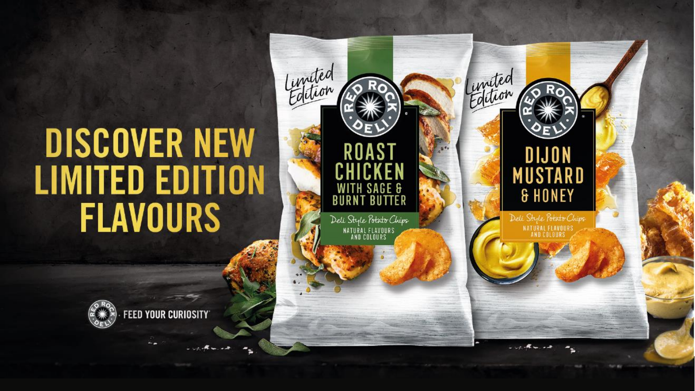# **DISCOVER NEW LIMITED EDITION FLAVOURS**



 $\mathcal{M}$